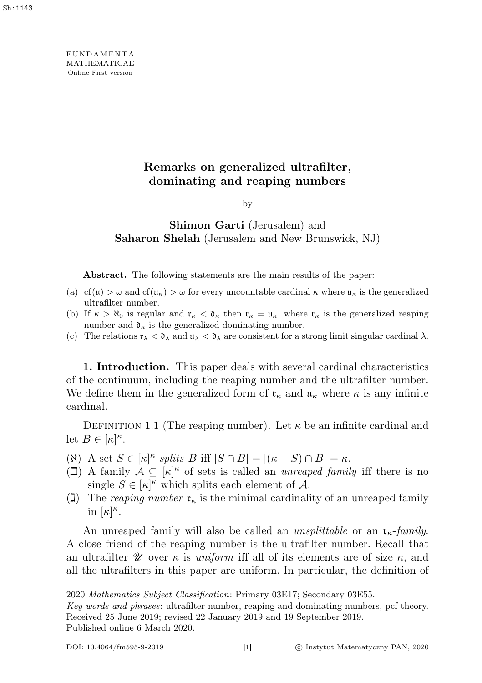**FUNDAMENTA** MATHEMATICAE Online First version

# Remarks on generalized ultrafilter, dominating and reaping numbers

by

# Shimon Garti (Jerusalem) and Saharon Shelah (Jerusalem and New Brunswick, NJ)

Abstract. The following statements are the main results of the paper:

- (a) cf(u)  $>\omega$  and cf(u<sub>K</sub>)  $>\omega$  for every uncountable cardinal  $\kappa$  where u<sub>K</sub> is the generalized ultrafilter number.
- (b) If  $\kappa > \aleph_0$  is regular and  $\mathfrak{r}_\kappa < \mathfrak{d}_\kappa$  then  $\mathfrak{r}_\kappa = \mathfrak{u}_\kappa$ , where  $\mathfrak{r}_\kappa$  is the generalized reaping number and  $\mathfrak{d}_{\kappa}$  is the generalized dominating number.
- (c) The relations  $\mathfrak{r}_{\lambda} < \mathfrak{d}_{\lambda}$  and  $\mathfrak{u}_{\lambda} < \mathfrak{d}_{\lambda}$  are consistent for a strong limit singular cardinal  $\lambda$ .

1. Introduction. This paper deals with several cardinal characteristics of the continuum, including the reaping number and the ultrafilter number. We define them in the generalized form of  $\mathfrak{r}_{\kappa}$  and  $\mathfrak{u}_{\kappa}$  where  $\kappa$  is any infinite cardinal.

DEFINITION 1.1 (The reaping number). Let  $\kappa$  be an infinite cardinal and let  $B \in [\kappa]^{\kappa}$ .

- ( $\aleph$ ) A set  $S \in [\kappa]^{\kappa}$  splits B iff  $|S \cap B| = |(\kappa S) \cap B| = \kappa$ .
- $\overline{I}(1)$  A family  $A \subseteq [\kappa]^{\kappa}$  of sets is called an *unreaped family* iff there is no single  $S \in [\kappa]^{\kappa}$  which splits each element of A.
- (1) The reaping number  $\mathfrak{r}_{\kappa}$  is the minimal cardinality of an unreaped family in  $[\kappa]^\kappa$ .

An unreaped family will also be called an *unsplittable* or an  $\mathfrak{r}_{\kappa}$ -family. A close friend of the reaping number is the ultrafilter number. Recall that an ultrafilter  $\mathscr U$  over  $\kappa$  is uniform iff all of its elements are of size  $\kappa$ , and all the ultrafilters in this paper are uniform. In particular, the definition of

<sup>2020</sup> Mathematics Subject Classification: Primary 03E17; Secondary 03E55.

Key words and phrases: ultrafilter number, reaping and dominating numbers, pcf theory. Received 25 June 2019; revised 22 January 2019 and 19 September 2019. Published online 6 March 2020.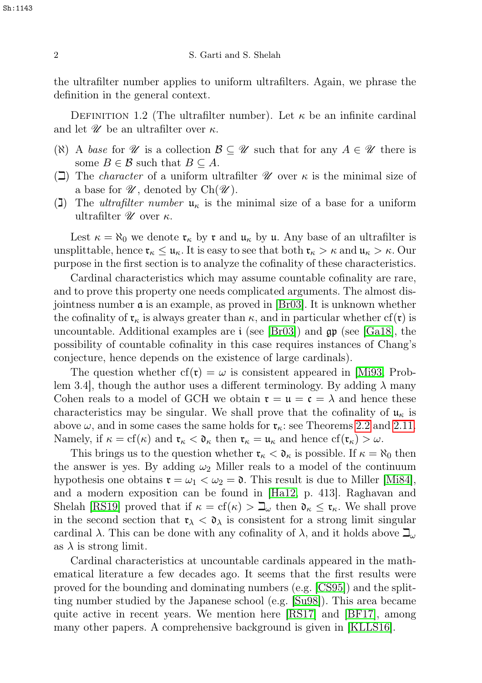the ultrafilter number applies to uniform ultrafilters. Again, we phrase the definition in the general context.

DEFINITION 1.2 (The ultrafilter number). Let  $\kappa$  be an infinite cardinal and let  $\mathscr U$  be an ultrafilter over  $\kappa$ .

- ( $\aleph$ ) A base for  $\mathscr U$  is a collection  $\mathcal B \subseteq \mathscr U$  such that for any  $A \in \mathscr U$  there is some  $B \in \mathcal{B}$  such that  $B \subseteq A$ .
- ( $\Box$ ) The *character* of a uniform ultrafilter  $\mathscr U$  over  $\kappa$  is the minimal size of a base for  $\mathscr{U}$ , denoted by  $Ch(\mathscr{U})$ .
- (1) The *ultrafilter number*  $u_{\kappa}$  is the minimal size of a base for a uniform ultrafilter  $\mathscr U$  over  $\kappa$ .

Lest  $\kappa = \aleph_0$  we denote  $\mathfrak{r}_\kappa$  by  $\mathfrak{r}$  and  $\mathfrak{u}_\kappa$  by  $\mathfrak{u}$ . Any base of an ultrafilter is unsplittable, hence  $\mathfrak{r}_{\kappa} \leq \mathfrak{u}_{\kappa}$ . It is easy to see that both  $\mathfrak{r}_{\kappa} > \kappa$  and  $\mathfrak{u}_{\kappa} > \kappa$ . Our purpose in the first section is to analyze the cofinality of these characteristics.

Cardinal characteristics which may assume countable cofinality are rare, and to prove this property one needs complicated arguments. The almost disjointness number a is an example, as proved in [\[Br03\]](#page-13-0). It is unknown whether the cofinality of  $\mathfrak{r}_{\kappa}$  is always greater than  $\kappa$ , and in particular whether cf( $\mathfrak{r}$ ) is uncountable. Additional examples are  $\mathfrak{i}$  (see [\[Br03\]](#page-13-0)) and  $\mathfrak{gp}$  (see [\[Ga18\]](#page-14-0), the possibility of countable cofinality in this case requires instances of Chang's conjecture, hence depends on the existence of large cardinals).

The question whether  $cf(r) = \omega$  is consistent appeared in [\[Mi93,](#page-14-1) Problem 3.4, though the author uses a different terminology. By adding  $\lambda$  many Cohen reals to a model of GCH we obtain  $\mathfrak{r} = \mathfrak{u} = \mathfrak{c} = \lambda$  and hence these characteristics may be singular. We shall prove that the cofinality of  $\mathfrak{u}_{\kappa}$  is above  $\omega$ , and in some cases the same holds for  $\mathfrak{r}_{\kappa}$ : see Theorems [2.2](#page-3-0) and [2.11.](#page-7-0) Namely, if  $\kappa = cf(\kappa)$  and  $\mathfrak{r}_{\kappa} < \mathfrak{d}_{\kappa}$  then  $\mathfrak{r}_{\kappa} = \mathfrak{u}_{\kappa}$  and hence  $cf(\mathfrak{r}_{\kappa}) > \omega$ .

This brings us to the question whether  $\mathfrak{r}_{\kappa} < \mathfrak{d}_{\kappa}$  is possible. If  $\kappa = \aleph_0$  then the answer is yes. By adding  $\omega_2$  Miller reals to a model of the continuum hypothesis one obtains  $\mathfrak{r} = \omega_1 < \omega_2 = \mathfrak{d}$ . This result is due to Miller [\[Mi84\]](#page-14-2), and a modern exposition can be found in [\[Ha12,](#page-14-3) p. 413]. Raghavan and Shelah [\[RS19\]](#page-14-4) proved that if  $\kappa = cf(\kappa) > \mathbb{L}_{\omega}$  then  $\mathfrak{d}_{\kappa} \leq \mathfrak{r}_{\kappa}$ . We shall prove in the second section that  $\mathfrak{r}_{\lambda} < \mathfrak{d}_{\lambda}$  is consistent for a strong limit singular cardinal  $\lambda$ . This can be done with any cofinality of  $\lambda$ , and it holds above  $\mathcal{I}_{\omega}$ as  $\lambda$  is strong limit.

Cardinal characteristics at uncountable cardinals appeared in the mathematical literature a few decades ago. It seems that the first results were proved for the bounding and dominating numbers (e.g. [\[CS95\]](#page-14-5)) and the splitting number studied by the Japanese school (e.g. [\[Su98\]](#page-14-6)). This area became quite active in recent years. We mention here [\[RS17\]](#page-14-7) and [\[BF17\]](#page-14-8), among many other papers. A comprehensive background is given in [\[KLLS16\]](#page-14-9).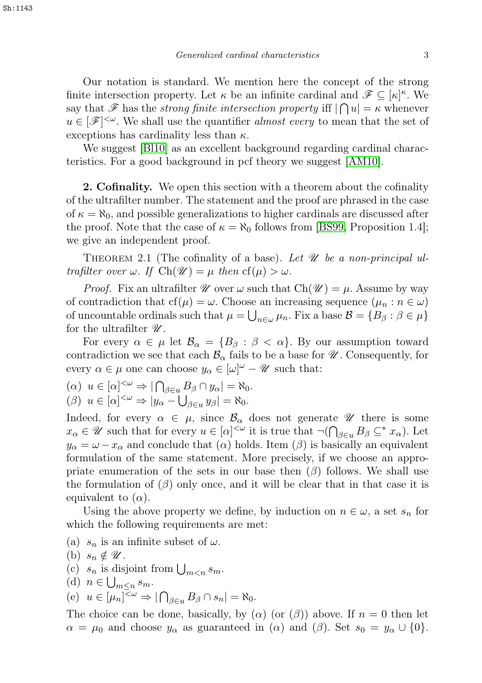Our notation is standard. We mention here the concept of the strong finite intersection property. Let  $\kappa$  be an infinite cardinal and  $\mathscr{F} \subseteq [\kappa]^{\kappa}$ . We say that  $\mathscr F$  has the *strong finite intersection property* iff  $|\bigcap u| = \kappa$  whenever  $u \in [\mathscr{F}]^{\leq \omega}$ . We shall use the quantifier *almost every* to mean that the set of exceptions has cardinality less than  $\kappa$ .

We suggest [\[Bl10\]](#page-13-1) as an excellent background regarding cardinal characteristics. For a good background in pcf theory we suggest [\[AM10\]](#page-13-2).

**2. Cofinality.** We open this section with a theorem about the cofinality of the ultrafilter number. The statement and the proof are phrased in the case of  $\kappa = \aleph_0$ , and possible generalizations to higher cardinals are discussed after the proof. Note that the case of  $\kappa = \aleph_0$  follows from [\[BS99,](#page-13-3) Proposition 1.4]; we give an independent proof.

<span id="page-2-0"></span>THEOREM 2.1 (The cofinality of a base). Let  $\mathcal U$  be a non-principal ultrafilter over  $\omega$ . If  $Ch(\mathscr{U}) = \mu$  then  $cf(\mu) > \omega$ .

*Proof.* Fix an ultrafilter  $\mathcal U$  over  $\omega$  such that  $Ch(\mathcal U) = \mu$ . Assume by way of contradiction that  $cf(\mu) = \omega$ . Choose an increasing sequence  $(\mu_n : n \in \omega)$ of uncountable ordinals such that  $\mu = \bigcup_{n \in \omega} \mu_n$ . Fix a base  $\mathcal{B} = \{B_\beta : \beta \in \mu\}$ for the ultrafilter  $\mathscr{U}.$ 

For every  $\alpha \in \mu$  let  $\mathcal{B}_{\alpha} = \{B_{\beta} : \beta < \alpha\}$ . By our assumption toward contradiction we see that each  $\mathcal{B}_{\alpha}$  fails to be a base for  $\mathcal{U}$ . Consequently, for every  $\alpha \in \mu$  one can choose  $y_{\alpha} \in [\omega]^{\omega} - \mathscr{U}$  such that:

 $(\alpha) \ u \in [\alpha]^{<\omega} \Rightarrow |\bigcap_{\beta \in u} B_{\beta} \cap y_{\alpha}| = \aleph_0.$ ( $\beta$ )  $u \in [\alpha]^{<\omega} \Rightarrow |y_\alpha - \bigcup_{\beta \in u} y_\beta| = \aleph_0.$ 

Indeed, for every  $\alpha \in \mu$ , since  $\mathcal{B}_{\alpha}$  does not generate  $\mathcal{U}$  there is some  $x_{\alpha} \in \mathscr{U}$  such that for every  $u \in [\alpha]^{<\omega}$  it is true that  $\neg(\bigcap_{\beta \in u} B_{\beta} \subseteq^* x_{\alpha})$ . Let  $y_{\alpha} = \omega - x_{\alpha}$  and conclude that  $(\alpha)$  holds. Item  $(\beta)$  is basically an equivalent formulation of the same statement. More precisely, if we choose an appropriate enumeration of the sets in our base then  $(\beta)$  follows. We shall use the formulation of  $(\beta)$  only once, and it will be clear that in that case it is equivalent to  $(\alpha)$ .

Using the above property we define, by induction on  $n \in \omega$ , a set  $s_n$  for which the following requirements are met:

- (a)  $s_n$  is an infinite subset of  $\omega$ .
- (b)  $s_n \notin \mathscr{U}$ .
- (c)  $s_n$  is disjoint from  $\bigcup_{m \leq n} s_m$ .
- (d)  $n \in \bigcup_{m \leq n} s_m$ .

(e) 
$$
u \in [\mu_n]^{\leq \omega} \Rightarrow |\bigcap_{\beta \in u} B_{\beta} \cap s_n| = \aleph_0
$$
.

The choice can be done, basically, by ( $\alpha$ ) (or  $(\beta)$ ) above. If  $n = 0$  then let  $\alpha = \mu_0$  and choose  $y_\alpha$  as guaranteed in  $(\alpha)$  and  $(\beta)$ . Set  $s_0 = y_\alpha \cup \{0\}.$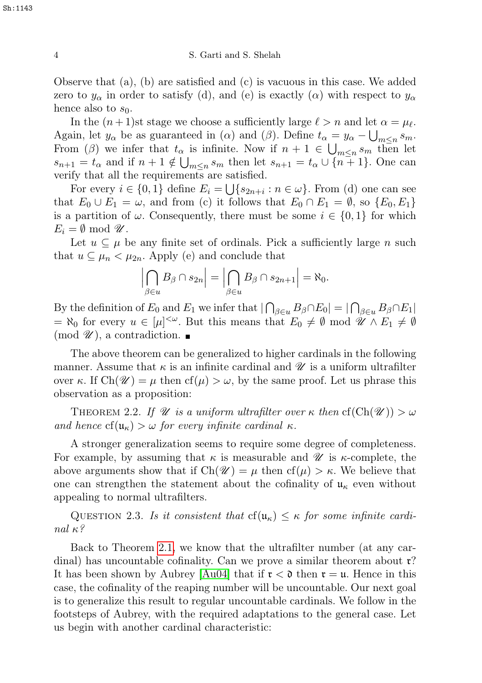Observe that (a), (b) are satisfied and (c) is vacuous in this case. We added zero to  $y_\alpha$  in order to satisfy (d), and (e) is exactly ( $\alpha$ ) with respect to  $y_\alpha$ hence also to  $s_0$ .

In the  $(n+1)$ st stage we choose a sufficiently large  $\ell > n$  and let  $\alpha = \mu_{\ell}$ . Again, let  $y_{\alpha}$  be as guaranteed in ( $\alpha$ ) and ( $\beta$ ). Define  $t_{\alpha} = y_{\alpha} - \bigcup_{m \leq n} s_m$ . From (β) we infer that  $t_{\alpha}$  is infinite. Now if  $n + 1 \in \bigcup_{m \leq n} s_m$  then let  $s_{n+1} = t_\alpha$  and if  $n+1 \notin \bigcup_{m \leq n} s_m$  then let  $s_{n+1} = t_\alpha \cup \{n+1\}$ . One can verify that all the requirements are satisfied.

For every  $i \in \{0,1\}$  define  $E_i = \bigcup \{s_{2n+i} : n \in \omega\}$ . From (d) one can see that  $E_0 \cup E_1 = \omega$ , and from (c) it follows that  $E_0 \cap E_1 = \emptyset$ , so  $\{E_0, E_1\}$ is a partition of  $\omega$ . Consequently, there must be some  $i \in \{0,1\}$  for which  $E_i = \emptyset \mod \mathscr{U}.$ 

Let  $u \subseteq \mu$  be any finite set of ordinals. Pick a sufficiently large n such that  $u \subseteq \mu_n < \mu_{2n}$ . Apply (e) and conclude that

$$
\left|\bigcap_{\beta\in u}B_{\beta}\cap s_{2n}\right|=\left|\bigcap_{\beta\in u}B_{\beta}\cap s_{2n+1}\right|=\aleph_0.
$$

By the definition of  $E_0$  and  $E_1$  we infer that  $|\bigcap_{\beta \in u} B_\beta \cap E_0| = |\bigcap_{\beta \in u} B_\beta \cap E_1|$  $= \aleph_0$  for every  $u \in [\mu]^{<\omega}$ . But this means that  $E_0 \neq \emptyset$  mod  $\mathscr{U} \wedge E_1 \neq \emptyset$  $\pmod{\mathscr{U}}$ , a contradiction.

The above theorem can be generalized to higher cardinals in the following manner. Assume that  $\kappa$  is an infinite cardinal and  $\mathscr U$  is a uniform ultrafilter over κ. If  $Ch(\mathscr{U}) = \mu$  then  $cf(\mu) > \omega$ , by the same proof. Let us phrase this observation as a proposition:

<span id="page-3-0"></span>THEOREM 2.2. If  $\mathscr U$  is a uniform ultrafilter over  $\kappa$  then  $cf(Ch(\mathscr U)) > \omega$ and hence  $cf(u_{\kappa}) > \omega$  for every infinite cardinal  $\kappa$ .

A stronger generalization seems to require some degree of completeness. For example, by assuming that  $\kappa$  is measurable and  $\mathscr U$  is  $\kappa$ -complete, the above arguments show that if  $Ch(\mathscr{U}) = \mu$  then  $cf(\mu) > \kappa$ . We believe that one can strengthen the statement about the cofinality of  $\mathfrak{u}_{\kappa}$  even without appealing to normal ultrafilters.

QUESTION 2.3. Is it consistent that  $cf(u_{\kappa}) \leq \kappa$  for some infinite cardinal  $\kappa$ ?

Back to Theorem [2.1,](#page-2-0) we know that the ultrafilter number (at any cardinal) has uncountable cofinality. Can we prove a similar theorem about  $\mathfrak{r}$ ? It has been shown by Aubrey [\[Au04\]](#page-13-4) that if  $\mathfrak{r} < \mathfrak{d}$  then  $\mathfrak{r} = \mathfrak{u}$ . Hence in this case, the cofinality of the reaping number will be uncountable. Our next goal is to generalize this result to regular uncountable cardinals. We follow in the footsteps of Aubrey, with the required adaptations to the general case. Let us begin with another cardinal characteristic: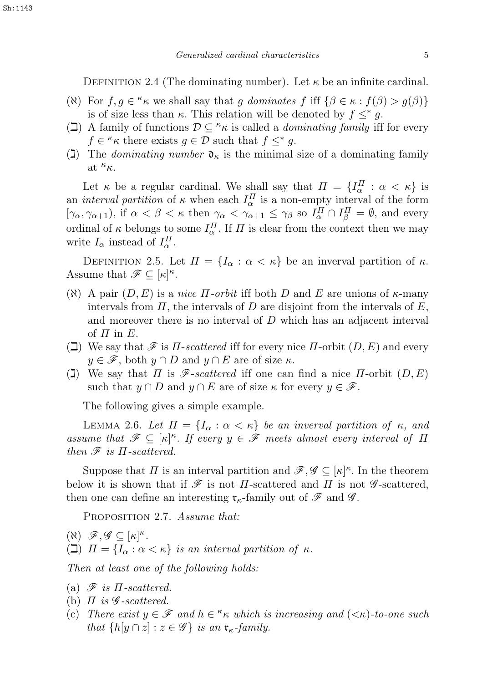<span id="page-4-2"></span>DEFINITION 2.4 (The dominating number). Let  $\kappa$  be an infinite cardinal.

- ( $\aleph$ ) For  $f, g \in \kappa \kappa$  we shall say that g dominates f iff  $\{\beta \in \kappa : f(\beta) > g(\beta)\}\$ is of size less than  $\kappa$ . This relation will be denoted by  $f \leq^* g$ .
- ( $\Box$ ) A family of functions  $\mathcal{D} \subseteq \kappa_{\kappa}$  is called a *dominating family* iff for every  $f \in \kappa \kappa$  there exists  $g \in \mathcal{D}$  such that  $f \leq^* g$ .
- (1) The *dominating number*  $\mathfrak{d}_{\kappa}$  is the minimal size of a dominating family at  ${}^{\kappa}\kappa$ .

Let  $\kappa$  be a regular cardinal. We shall say that  $\Pi = \{I_{\alpha}^{\Pi} : \alpha < \kappa\}$  is an *interval partition* of  $\kappa$  when each  $I_{\alpha}^{\Pi}$  is a non-empty interval of the form  $[\gamma_{\alpha}, \gamma_{\alpha+1}),$  if  $\alpha < \beta < \kappa$  then  $\gamma_{\alpha} < \gamma_{\alpha+1} \leq \gamma_{\beta}$  so  $I_{\alpha}^{\Pi} \cap I_{\beta}^{\Pi} = \emptyset$ , and every ordinal of  $\kappa$  belongs to some  $I_{\alpha}^{\Pi}$ . If  $\Pi$  is clear from the context then we may write  $I_{\alpha}$  instead of  $I_{\alpha}^{\Pi}$ .

DEFINITION 2.5. Let  $\Pi = \{I_\alpha : \alpha < \kappa\}$  be an inverval partition of  $\kappa$ . Assume that  $\mathscr{F} \subseteq [\kappa]^{\kappa}$ .

- ( $\aleph$ ) A pair  $(D, E)$  is a *nice*  $\Pi$ *-orbit* iff both D and E are unions of  $\kappa$ -many intervals from  $\Pi$ , the intervals of D are disjoint from the intervals of E, and moreover there is no interval of D which has an adjacent interval of  $\Pi$  in  $E$ .
- $\Box$  We say that  $\mathscr F$  is  $\Pi$ -scattered iff for every nice  $\Pi$ -orbit  $(D, E)$  and every  $y \in \mathscr{F}$ , both  $y \cap D$  and  $y \cap E$  are of size  $\kappa$ .
- (I) We say that  $\Pi$  is  $\mathscr{F}\text{-}scattered$  iff one can find a nice  $\Pi\text{-orbit } (D, E)$ such that  $y \cap D$  and  $y \cap E$  are of size  $\kappa$  for every  $y \in \mathscr{F}$ .

The following gives a simple example.

<span id="page-4-0"></span>LEMMA 2.6. Let  $\Pi = \{I_\alpha : \alpha < \kappa\}$  be an inverval partition of  $\kappa$ , and assume that  $\mathscr{F} \subseteq [\kappa]^\kappa$ . If every  $y \in \mathscr{F}$  meets almost every interval of  $\Pi$ then  $\mathscr F$  is  $\Pi$ -scattered.

Suppose that  $\Pi$  is an interval partition and  $\mathscr{F}, \mathscr{G} \subseteq [\kappa]^{\kappa}$ . In the theorem below it is shown that if  $\mathscr F$  is not  $\Pi$ -scattered and  $\Pi$  is not  $\mathscr G$ -scattered, then one can define an interesting  $\mathfrak{r}_{\kappa}$ -family out of  $\mathscr{F}$  and  $\mathscr{G}$ .

<span id="page-4-1"></span>PROPOSITION 2.7. Assume that:

 $(X)$   $\mathscr{F}, \mathscr{G} \subseteq [\kappa]^{\kappa}$ . ( $\Box$ )  $\Pi = \{I_{\alpha} : \alpha < \kappa\}$  is an interval partition of  $\kappa$ .

Then at least one of the following holds:

- (a)  $\mathscr F$  is  $\Pi$ -scattered.
- (b)  $\Pi$  is  $\mathscr G$ -scattered.
- (c) There exist  $y \in \mathscr{F}$  and  $h \in \kappa$  which is increasing and  $(<\kappa$ )-to-one such that  $\{h[y \cap z] : z \in \mathscr{G}\}\$ is an  $\mathfrak{r}_{\kappa}$ -family.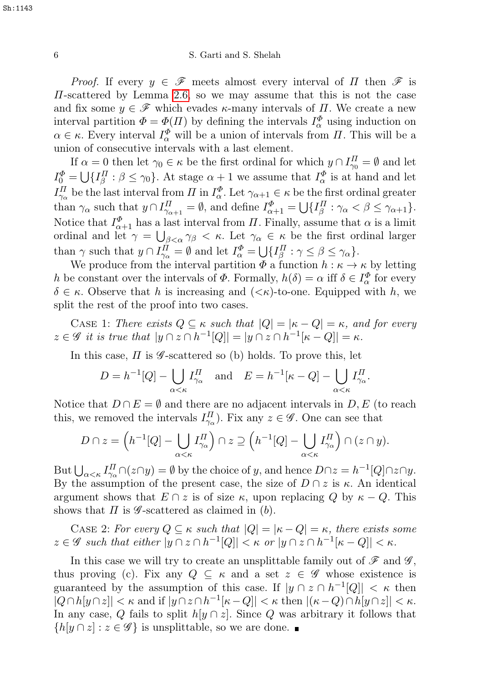*Proof.* If every  $y \in \mathscr{F}$  meets almost every interval of  $\Pi$  then  $\mathscr{F}$  is  $\Pi$ -scattered by Lemma [2.6,](#page-4-0) so we may assume that this is not the case and fix some  $y \in \mathscr{F}$  which evades  $\kappa$ -many intervals of  $\Pi$ . We create a new interval partition  $\Phi = \Phi(H)$  by defining the intervals  $I_{\alpha}^{\Phi}$  using induction on  $\alpha \in \kappa$ . Every interval  $I_{\alpha}^{\Phi}$  will be a union of intervals from  $\Pi$ . This will be a union of consecutive intervals with a last element.

If  $\alpha = 0$  then let  $\gamma_0 \in \kappa$  be the first ordinal for which  $y \cap I_{\gamma_0}^{\Pi} = \emptyset$  and let  $I_0^{\Phi} = \bigcup \{ I_{\beta}^{\Pi} : \beta \le \gamma_0 \}.$  At stage  $\alpha + 1$  we assume that  $I_{\alpha}^{\Phi}$  is at hand and let  $I_{\gamma_\alpha}^{\Pi}$  be the last interval from  $\Pi$  in  $I_\alpha^{\Phi}$ . Let  $\gamma_{\alpha+1} \in \kappa$  be the first ordinal greater than  $\gamma_{\alpha}$  such that  $y \cap I_{\gamma_{\alpha+1}}^{\Pi} = \emptyset$ , and define  $I_{\alpha+1}^{\Phi} = \bigcup \{I_{\beta}^{\Pi} : \gamma_{\alpha} < \beta \leq \gamma_{\alpha+1} \}.$ Notice that  $I_{\alpha+1}^{\Phi}$  has a last interval from  $II$ . Finally, assume that  $\alpha$  is a limit ordinal and let  $\gamma = \bigcup_{\beta < \alpha} \gamma_{\beta} < \kappa$ . Let  $\gamma_{\alpha} \in \kappa$  be the first ordinal larger than  $\gamma$  such that  $y \cap I_{\gamma_{\alpha}}^{\Pi} = \emptyset$  and let  $I_{\alpha}^{\Phi} = \bigcup \{I_{\beta}^{\Pi} : \gamma \leq \beta \leq \gamma_{\alpha}\}.$ 

We produce from the interval partition  $\Phi$  a function  $h : \kappa \to \kappa$  by letting h be constant over the intervals of  $\Phi$ . Formally,  $h(\delta) = \alpha$  iff  $\delta \in I_{\alpha}^{\Phi}$  for every  $\delta \in \kappa$ . Observe that h is increasing and  $( $\kappa$ )$ -to-one. Equipped with h, we split the rest of the proof into two cases.

CASE 1: There exists  $Q \subseteq \kappa$  such that  $|Q| = |\kappa - Q| = \kappa$ , and for every  $z \in \mathscr{G}$  it is true that  $|y \cap z \cap h^{-1}[Q]| = |y \cap z \cap h^{-1}[\kappa - Q]| = \kappa$ .

In this case,  $\Pi$  is  $\mathscr G$ -scattered so (b) holds. To prove this, let

$$
D = h^{-1}[Q] - \bigcup_{\alpha < \kappa} I_{\gamma_\alpha}^{\Pi} \quad \text{and} \quad E = h^{-1}[\kappa - Q] - \bigcup_{\alpha < \kappa} I_{\gamma_\alpha}^{\Pi}
$$

.

Notice that  $D \cap E = \emptyset$  and there are no adjacent intervals in D, E (to reach this, we removed the intervals  $I_{\gamma_{\alpha}}^{\Pi}$ ). Fix any  $z \in \mathscr{G}$ . One can see that

$$
D \cap z = \left( h^{-1}[Q] - \bigcup_{\alpha < \kappa} I_{\gamma_\alpha}^{\Pi} \right) \cap z \supseteq \left( h^{-1}[Q] - \bigcup_{\alpha < \kappa} I_{\gamma_\alpha}^{\Pi} \right) \cap (z \cap y).
$$

But  $\bigcup_{\alpha<\kappa}I_{\gamma_\alpha}^{\Pi}\cap(z\cap y)=\emptyset$  by the choice of y, and hence  $D\cap z=h^{-1}[Q]\cap z\cap y$ . By the assumption of the present case, the size of  $D \cap z$  is  $\kappa$ . An identical argument shows that  $E \cap z$  is of size  $\kappa$ , upon replacing Q by  $\kappa - Q$ . This shows that  $\Pi$  is  $\mathscr G$ -scattered as claimed in (b).

CASE 2: For every  $Q \subseteq \kappa$  such that  $|Q| = |\kappa - Q| = \kappa$ , there exists some  $z \in \mathscr{G}$  such that either  $|y \cap z \cap h^{-1}[Q]| < \kappa$  or  $|y \cap z \cap h^{-1}[\kappa - Q]| < \kappa$ .

In this case we will try to create an unsplittable family out of  $\mathscr F$  and  $\mathscr G$ , thus proving (c). Fix any  $Q \subseteq \kappa$  and a set  $z \in \mathscr{G}$  whose existence is guaranteed by the assumption of this case. If  $|y \cap z \cap h^{-1}[Q]| < \kappa$  then  $|Q \cap h[y \cap z]| < \kappa$  and if  $|y \cap z \cap h^{-1}[\kappa - Q]| < \kappa$  then  $|(\kappa - Q) \cap h[y \cap z]| < \kappa$ . In any case, Q fails to split  $h[y \cap z]$ . Since Q was arbitrary it follows that  $\{h[y \cap z] : z \in \mathscr{G}\}\$ is unsplittable, so we are done.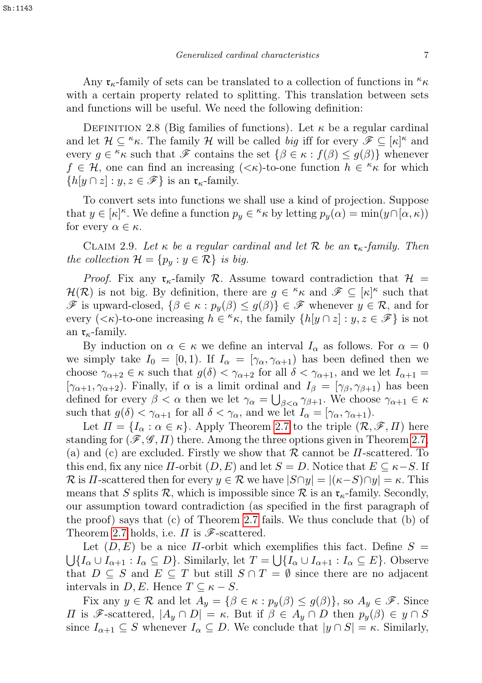Any  $\mathfrak{r}_{\kappa}$ -family of sets can be translated to a collection of functions in  $\kappa_{\kappa}$ with a certain property related to splitting. This translation between sets and functions will be useful. We need the following definition:

DEFINITION 2.8 (Big families of functions). Let  $\kappa$  be a regular cardinal and let  $\mathcal{H} \subseteq \kappa \kappa$ . The family  $\mathcal{H}$  will be called big iff for every  $\mathscr{F} \subseteq [\kappa]^\kappa$  and every  $g \in \kappa \kappa$  such that  $\mathscr{F}$  contains the set  $\{\beta \in \kappa : f(\beta) \leq g(\beta)\}\$  whenever  $f \in \mathcal{H}$ , one can find an increasing  $( $\kappa$ )-to-one function  $h \in \kappa \kappa$  for which$  $\{h[y \cap z] : y, z \in \mathscr{F}\}\$ is an  $\mathfrak{r}_{\kappa}$ -family.

To convert sets into functions we shall use a kind of projection. Suppose that  $y \in [\kappa]^\kappa$ . We define a function  $p_y \in \kappa$  by letting  $p_y(\alpha) = \min(y \cap [\alpha, \kappa))$ for every  $\alpha \in \kappa$ .

<span id="page-6-0"></span>CLAIM 2.9. Let  $\kappa$  be a regular cardinal and let  $\mathcal R$  be an  $\mathfrak r_\kappa$ -family. Then the collection  $\mathcal{H} = \{p_y : y \in \mathcal{R}\}\$ is big.

*Proof.* Fix any  $\mathfrak{r}_{\kappa}$ -family R. Assume toward contradiction that  $\mathcal{H} =$  $\mathcal{H}(\mathcal{R})$  is not big. By definition, there are  $g \in \kappa \mathfrak{m}$  and  $\mathscr{F} \subseteq [\kappa]^\kappa$  such that  $\mathscr F$  is upward-closed,  $\{\beta \in \kappa : p_y(\beta) \leq g(\beta)\}\in \mathscr F$  whenever  $y \in \mathcal R$ , and for every  $(<\kappa$ )-to-one increasing  $h \in \kappa \kappa$ , the family  $\{h[y \cap z] : y, z \in \mathcal{F}\}\$ is notan  $\mathfrak{r}_{\kappa}$ -family.

By induction on  $\alpha \in \kappa$  we define an interval  $I_{\alpha}$  as follows. For  $\alpha = 0$ we simply take  $I_0 = [0, 1)$ . If  $I_\alpha = [\gamma_\alpha, \gamma_{\alpha+1}]$  has been defined then we choose  $\gamma_{\alpha+2} \in \kappa$  such that  $g(\delta) < \gamma_{\alpha+2}$  for all  $\delta < \gamma_{\alpha+1}$ , and we let  $I_{\alpha+1} =$  $[\gamma_{\alpha+1}, \gamma_{\alpha+2})$ . Finally, if  $\alpha$  is a limit ordinal and  $I_{\beta} = [\gamma_{\beta}, \gamma_{\beta+1})$  has been defined for every  $\beta < \alpha$  then we let  $\gamma_{\alpha} = \bigcup_{\beta < \alpha} \gamma_{\beta+1}$ . We choose  $\gamma_{\alpha+1} \in \kappa$ such that  $g(\delta) < \gamma_{\alpha+1}$  for all  $\delta < \gamma_{\alpha}$ , and we let  $I_{\alpha} = [\gamma_{\alpha}, \gamma_{\alpha+1}).$ 

Let  $\Pi = \{I_{\alpha} : \alpha \in \kappa\}$ . Apply Theorem [2.7](#page-4-1) to the triple  $(\mathcal{R}, \mathcal{F}, \Pi)$  here standing for  $(\mathscr{F}, \mathscr{G}, \Pi)$  there. Among the three options given in Theorem [2.7,](#page-4-1) (a) and (c) are excluded. Firstly we show that  $\mathcal R$  cannot be  $\Pi$ -scattered. To this end, fix any nice  $\Pi$ -orbit  $(D, E)$  and let  $S = D$ . Notice that  $E \subseteq \kappa - S$ . If R is H-scattered then for every  $y \in \mathcal{R}$  we have  $|S \cap y| = |(\kappa - S) \cap y| = \kappa$ . This means that S splits R, which is impossible since R is an  $\mathfrak{r}_{\kappa}$ -family. Secondly, our assumption toward contradiction (as specified in the first paragraph of the proof) says that  $(c)$  of Theorem [2.7](#page-4-1) fails. We thus conclude that  $(b)$  of Theorem [2.7](#page-4-1) holds, i.e.  $\Pi$  is  $\mathscr{F}\text{-scattered.}$ 

Let  $(D, E)$  be a nice  $\Pi$ -orbit which exemplifies this fact. Define  $S =$  $\bigcup \{I_\alpha \cup I_{\alpha+1} : I_\alpha \subseteq D\}$ . Similarly, let  $T = \bigcup \{I_\alpha \cup I_{\alpha+1} : I_\alpha \subseteq E\}$ . Observe that  $D \subseteq S$  and  $E \subseteq T$  but still  $S \cap T = \emptyset$  since there are no adjacent intervals in  $D, E$ . Hence  $T \subseteq \kappa - S$ .

Fix any  $y \in \mathcal{R}$  and let  $A_y = \{\beta \in \kappa : p_y(\beta) \leq g(\beta)\}\)$ , so  $A_y \in \mathcal{F}$ . Since  $\Pi$  is *F*-scattered,  $|A_y \cap D| = \kappa$ . But if  $\beta \in A_y \cap D$  then  $p_y(\beta) \in y \cap S$ since  $I_{\alpha+1} \subseteq S$  whenever  $I_{\alpha} \subseteq D$ . We conclude that  $|y \cap S| = \kappa$ . Similarly,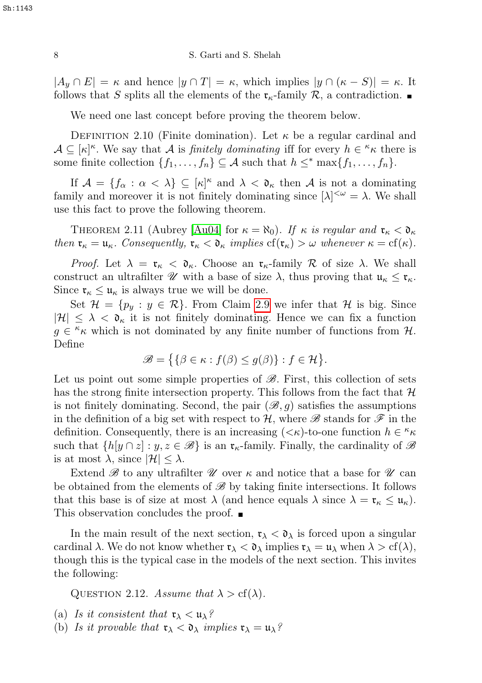$|A_y \cap E| = \kappa$  and hence  $|y \cap T| = \kappa$ , which implies  $|y \cap (\kappa - S)| = \kappa$ . It follows that S splits all the elements of the  $\mathfrak{r}_{\kappa}$ -family  $\mathcal{R}$ , a contradiction.

We need one last concept before proving the theorem below.

DEFINITION 2.10 (Finite domination). Let  $\kappa$  be a regular cardinal and  $\mathcal{A} \subseteq [\kappa]^{\kappa}$ . We say that A is *finitely dominating* iff for every  $h \in {\kappa} \kappa$  there is some finite collection  $\{f_1, \ldots, f_n\} \subseteq A$  such that  $h \leq^* \max\{f_1, \ldots, f_n\}.$ 

If  $\mathcal{A} = \{f_{\alpha} : \alpha < \lambda\} \subseteq [\kappa]^{\kappa}$  and  $\lambda < \mathfrak{d}_{\kappa}$  then  $\mathcal{A}$  is not a dominating family and moreover it is not finitely dominating since  $[\lambda]^{<\omega} = \lambda$ . We shall use this fact to prove the following theorem.

<span id="page-7-0"></span>THEOREM 2.11 (Aubrey [\[Au04\]](#page-13-4) for  $\kappa = \aleph_0$ ). If  $\kappa$  is regular and  $\mathfrak{r}_\kappa < \mathfrak{d}_\kappa$ then  $\mathfrak{r}_{\kappa} = \mathfrak{u}_{\kappa}$ . Consequently,  $\mathfrak{r}_{\kappa} < \mathfrak{d}_{\kappa}$  implies  $cf(\mathfrak{r}_{\kappa}) > \omega$  whenever  $\kappa = cf(\kappa)$ .

*Proof.* Let  $\lambda = \mathfrak{r}_{\kappa} < \mathfrak{d}_{\kappa}$ . Choose an  $\mathfrak{r}_{\kappa}$ -family  $\mathcal R$  of size  $\lambda$ . We shall construct an ultrafilter  $\mathscr U$  with a base of size  $\lambda$ , thus proving that  $\mathfrak u_\kappa \leq \mathfrak r_\kappa$ . Since  $\mathfrak{r}_{\kappa} \leq \mathfrak{u}_{\kappa}$  is always true we will be done.

Set  $\mathcal{H} = \{p_y : y \in \mathcal{R}\}\.$  From Claim [2.9](#page-6-0) we infer that  $\mathcal{H}$  is big. Since  $|\mathcal{H}| \leq \lambda < \mathfrak{d}_{\kappa}$  it is not finitely dominating. Hence we can fix a function  $g \in \kappa$  which is not dominated by any finite number of functions from H. Define

$$
\mathscr{B} = \big\{ \{\beta \in \kappa : f(\beta) \le g(\beta)\} : f \in \mathcal{H} \big\}.
$$

Let us point out some simple properties of  $\mathscr{B}$ . First, this collection of sets has the strong finite intersection property. This follows from the fact that  $\mathcal{H}$ is not finitely dominating. Second, the pair  $(\mathscr{B}, g)$  satisfies the assumptions in the definition of a big set with respect to  $H$ , where  $\mathscr B$  stands for  $\mathscr F$  in the definition. Consequently, there is an increasing  $(<\kappa$ )-to-one function  $h \in \kappa$ such that  $\{h[y \cap z] : y, z \in \mathcal{B}\}\$ is an  $\mathfrak{r}_{\kappa}$ -family. Finally, the cardinality of  $\mathcal{B}$ is at most  $\lambda$ , since  $|\mathcal{H}| \leq \lambda$ .

Extend  $\mathscr{B}$  to any ultrafilter  $\mathscr{U}$  over  $\kappa$  and notice that a base for  $\mathscr{U}$  can be obtained from the elements of  $\mathscr{B}$  by taking finite intersections. It follows that this base is of size at most  $\lambda$  (and hence equals  $\lambda$  since  $\lambda = \mathfrak{r}_{\kappa} \leq \mathfrak{u}_{\kappa}$ ). This observation concludes the proof.

In the main result of the next section,  $\mathfrak{r}_{\lambda} < \mathfrak{d}_{\lambda}$  is forced upon a singular cardinal  $\lambda$ . We do not know whether  $\mathfrak{r}_{\lambda} < \mathfrak{d}_{\lambda}$  implies  $\mathfrak{r}_{\lambda} = \mathfrak{u}_{\lambda}$  when  $\lambda > \mathrm{cf}(\lambda)$ , though this is the typical case in the models of the next section. This invites the following:

QUESTION 2.12. Assume that  $\lambda > cf(\lambda)$ .

- (a) Is it consistent that  $\mathfrak{r}_{\lambda} < \mathfrak{u}_{\lambda}$ ?
- (b) Is it provable that  $\mathfrak{r}_{\lambda} < \mathfrak{d}_{\lambda}$  implies  $\mathfrak{r}_{\lambda} = \mathfrak{u}_{\lambda}$ ?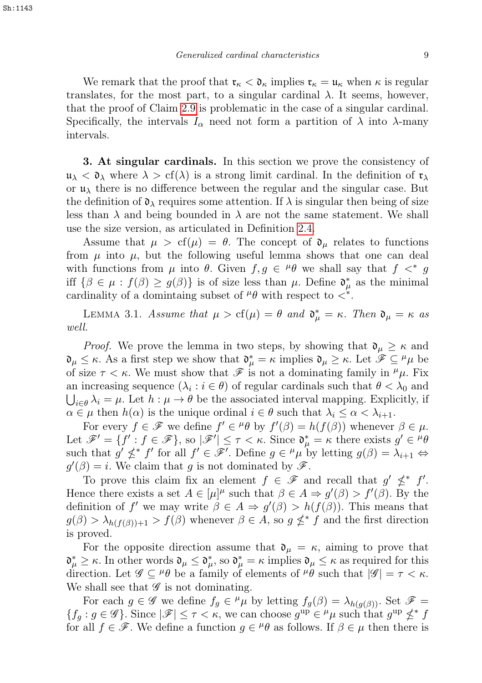We remark that the proof that  $\mathfrak{r}_{\kappa} < \mathfrak{d}_{\kappa}$  implies  $\mathfrak{r}_{\kappa} = \mathfrak{u}_{\kappa}$  when  $\kappa$  is regular translates, for the most part, to a singular cardinal  $\lambda$ . It seems, however, that the proof of Claim [2.9](#page-6-0) is problematic in the case of a singular cardinal. Specifically, the intervals  $I_{\alpha}$  need not form a partition of  $\lambda$  into  $\lambda$ -many intervals.

3. At singular cardinals. In this section we prove the consistency of  $\mathfrak{u}_{\lambda} < \mathfrak{d}_{\lambda}$  where  $\lambda > \text{cf}(\lambda)$  is a strong limit cardinal. In the definition of  $\mathfrak{r}_{\lambda}$ or  $\mu_{\lambda}$  there is no difference between the regular and the singular case. But the definition of  $\mathfrak{d}_{\lambda}$  requires some attention. If  $\lambda$  is singular then being of size less than  $\lambda$  and being bounded in  $\lambda$  are not the same statement. We shall use the size version, as articulated in Definition [2.4.](#page-4-2)

Assume that  $\mu > cf(\mu) = \theta$ . The concept of  $\mathfrak{d}_{\mu}$  relates to functions from  $\mu$  into  $\mu$ , but the following useful lemma shows that one can deal with functions from  $\mu$  into  $\theta$ . Given  $f, g \in {}^{\mu} \theta$  we shall say that  $f \prec^* g$ iff  $\{\beta \in \mu : f(\beta) \ge g(\beta)\}\$ is of size less than  $\mu$ . Define  $\mathfrak{d}^*_{\mu}$  as the minimal cardinality of a domintaing subset of  $^{\mu}\theta$  with respect to  $\lt^*$ .

<span id="page-8-0"></span>LEMMA 3.1. Assume that  $\mu > cf(\mu) = \theta$  and  $\mathfrak{d}^*_{\mu} = \kappa$ . Then  $\mathfrak{d}_{\mu} = \kappa$  as well.

*Proof.* We prove the lemma in two steps, by showing that  $\mathfrak{d}_{\mu} \geq \kappa$  and  $\mathfrak{d}_{\mu} \leq \kappa$ . As a first step we show that  $\mathfrak{d}_{\mu}^* = \kappa$  implies  $\mathfrak{d}_{\mu} \geq \kappa$ . Let  $\mathscr{F} \subseteq {}^{\mu} \mu$  be of size  $\tau < \kappa$ . We must show that  $\mathscr F$  is not a dominating family in  $^{\mu}\mu$ . Fix an increasing sequence  $(\lambda_i : i \in \theta)$  of regular cardinals such that  $\theta < \lambda_0$  and  $\bigcup_{i \in \theta} \lambda_i = \mu$ . Let  $h : \mu \to \theta$  be the associated interval mapping. Explicitly, if  $\alpha \in \mu$  then  $h(\alpha)$  is the unique ordinal  $i \in \theta$  such that  $\lambda_i \leq \alpha < \lambda_{i+1}$ .

For every  $f \in \mathscr{F}$  we define  $f' \in {}^{\mu} \theta$  by  $f'(\beta) = h(f(\beta))$  whenever  $\beta \in \mu$ . Let  $\mathscr{F}' = \{f' : f \in \mathscr{F}\}\$ , so  $|\mathscr{F}'| \leq \tau < \kappa$ . Since  $\mathfrak{d}_{\mu}^* = \kappa$  there exists  $g' \in {}^{\mu} \theta$ such that  $g' \nleq^* f'$  for all  $f' \in \mathscr{F}'$ . Define  $g \in {}^{\mu} \mu$  by letting  $g(\beta) = \lambda_{i+1} \Leftrightarrow$  $g'(\beta) = i$ . We claim that g is not dominated by  $\mathscr{F}$ .

To prove this claim fix an element  $f \in \mathscr{F}$  and recall that  $g' \nleq^* f'$ . Hence there exists a set  $A \in [\mu]^{\mu}$  such that  $\beta \in A \Rightarrow g'(\beta) > f'(\beta)$ . By the definition of f' we may write  $\beta \in A \Rightarrow g'(\beta) > h(f(\beta))$ . This means that  $g(\beta) > \lambda_{h(f(\beta))+1} > f(\beta)$  whenever  $\beta \in A$ , so  $g \nleq^* f$  and the first direction is proved.

For the opposite direction assume that  $\mathfrak{d}_{\mu} = \kappa$ , aiming to prove that  $\mathfrak{d}_{\mu}^* \geq \kappa$ . In other words  $\mathfrak{d}_{\mu} \leq \mathfrak{d}_{\mu}^*$ , so  $\mathfrak{d}_{\mu}^* = \kappa$  implies  $\mathfrak{d}_{\mu} \leq \kappa$  as required for this direction. Let  $\mathscr{G} \subseteq {}^{\mu} \theta$  be a family of elements of  ${}^{\mu} \theta$  such that  $|\mathscr{G}| = \tau < \kappa$ . We shall see that  $\mathscr G$  is not dominating.

For each  $g \in \mathscr{G}$  we define  $f_g \in {}^{\mu}\mu$  by letting  $f_g(\beta) = \lambda_{h(g(\beta))}$ . Set  $\mathscr{F} =$  ${f_g : g \in \mathscr{G}}$ . Since  $|\mathscr{F}| \leq \tau < \kappa$ , we can choose  $g^{\text{up}} \in {}^{\mu} \mu$  such that  $g^{\text{up}} \nleq^* f$ for all  $f \in \mathscr{F}$ . We define a function  $g \in H^{\beta}$  as follows. If  $\beta \in \mu$  then there is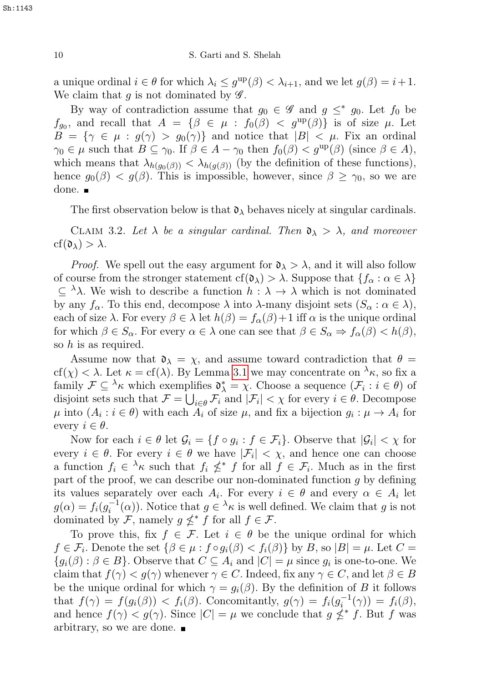a unique ordinal  $i \in \theta$  for which  $\lambda_i \leq g^{\text{up}}(\beta) < \lambda_{i+1}$ , and we let  $g(\beta) = i+1$ . We claim that g is not dominated by  $\mathscr{G}$ .

By way of contradiction assume that  $g_0 \in \mathscr{G}$  and  $g \leq^* g_0$ . Let  $f_0$  be  $f_{g_0}$ , and recall that  $A = \{ \beta \in \mu : f_0(\beta) < g^{\text{up}}(\beta) \}$  is of size  $\mu$ . Let  $B = \{ \gamma \in \mu : g(\gamma) > g_0(\gamma) \}$  and notice that  $|B| < \mu$ . Fix an ordinal  $\gamma_0 \in \mu$  such that  $B \subseteq \gamma_0$ . If  $\beta \in A - \gamma_0$  then  $f_0(\beta) < g^{\text{up}}(\beta)$  (since  $\beta \in A$ ), which means that  $\lambda_{h(q_0(\beta))} < \lambda_{h(q(\beta))}$  (by the definition of these functions), hence  $g_0(\beta) < g(\beta)$ . This is impossible, however, since  $\beta \geq \gamma_0$ , so we are done. ■

The first observation below is that  $\mathfrak{d}_{\lambda}$  behaves nicely at singular cardinals.

CLAIM 3.2. Let  $\lambda$  be a singular cardinal. Then  $\mathfrak{d}_{\lambda} > \lambda$ , and moreover  $cf(\mathfrak{d}_{\lambda}) > \lambda$ .

*Proof.* We spell out the easy argument for  $\mathfrak{d}_{\lambda} > \lambda$ , and it will also follow of course from the stronger statement cf( $\mathfrak{d}_{\lambda}$ ) >  $\lambda$ . Suppose that  $\{f_{\alpha} : \alpha \in \lambda\}$  $\subseteq \lambda$ . We wish to describe a function  $h : \lambda \to \lambda$  which is not dominated by any  $f_{\alpha}$ . To this end, decompose  $\lambda$  into  $\lambda$ -many disjoint sets  $(S_{\alpha} : \alpha \in \lambda)$ , each of size  $\lambda$ . For every  $\beta \in \lambda$  let  $h(\beta) = f_{\alpha}(\beta) + 1$  iff  $\alpha$  is the unique ordinal for which  $\beta \in S_\alpha$ . For every  $\alpha \in \lambda$  one can see that  $\beta \in S_\alpha \Rightarrow f_\alpha(\beta) < h(\beta)$ , so  $h$  is as required.

Assume now that  $\mathfrak{d}_{\lambda} = \chi$ , and assume toward contradiction that  $\theta =$ cf(x) <  $\lambda$ . Let  $\kappa = cf(\lambda)$ . By Lemma [3.1](#page-8-0) we may concentrate on  $\lambda_{\kappa}$ , so fix a family  $\mathcal{F} \subseteq {}^{\lambda}\kappa$  which exemplifies  $\mathfrak{d}^*_{\lambda} = \chi$ . Choose a sequence  $(\mathcal{F}_i : i \in \theta)$  of disjoint sets such that  $\mathcal{F} = \bigcup_{i \in \theta} \mathcal{F}_i$  and  $|\mathcal{F}_i| < \chi$  for every  $i \in \theta$ . Decompose  $\mu$  into  $(A_i : i \in \theta)$  with each  $A_i$  of size  $\mu$ , and fix a bijection  $g_i : \mu \to A_i$  for every  $i \in \theta$ .

Now for each  $i \in \theta$  let  $\mathcal{G}_i = \{f \circ g_i : f \in \mathcal{F}_i\}$ . Observe that  $|\mathcal{G}_i| < \chi$  for every  $i \in \theta$ . For every  $i \in \theta$  we have  $|\mathcal{F}_i| < \chi$ , and hence one can choose a function  $f_i \in \lambda_{\kappa}$  such that  $f_i \nleq^* f$  for all  $f \in \mathcal{F}_i$ . Much as in the first part of the proof, we can describe our non-dominated function  $g$  by defining its values separately over each  $A_i$ . For every  $i \in \theta$  and every  $\alpha \in A_i$  let  $g(\alpha) = f_i(g_i^{-1}(\alpha))$ . Notice that  $g \in {}^{\lambda}\kappa$  is well defined. We claim that g is not dominated by  $\mathcal{F}$ , namely  $g \nleq^* f$  for all  $f \in \mathcal{F}$ .

To prove this, fix  $f \in \mathcal{F}$ . Let  $i \in \theta$  be the unique ordinal for which  $f \in \mathcal{F}_i$ . Denote the set  $\{\beta \in \mu : f \circ g_i(\beta) < f_i(\beta)\}\$  by B, so  $|B| = \mu$ . Let  $C =$  ${g_i(\beta) : \beta \in B}$ . Observe that  $C \subseteq A_i$  and  $|C| = \mu$  since  $g_i$  is one-to-one. We claim that  $f(\gamma) < g(\gamma)$  whenever  $\gamma \in C$ . Indeed, fix any  $\gamma \in C$ , and let  $\beta \in B$ be the unique ordinal for which  $\gamma = g_i(\beta)$ . By the definition of B it follows that  $f(\gamma) = f(g_i(\beta)) < f_i(\beta)$ . Concomitantly,  $g(\gamma) = f_i(g_i^{-1}(\gamma)) = f_i(\beta)$ , and hence  $f(\gamma) < g(\gamma)$ . Since  $|C| = \mu$  we conclude that  $g \nleq^* f$ . But f was arbitrary, so we are done.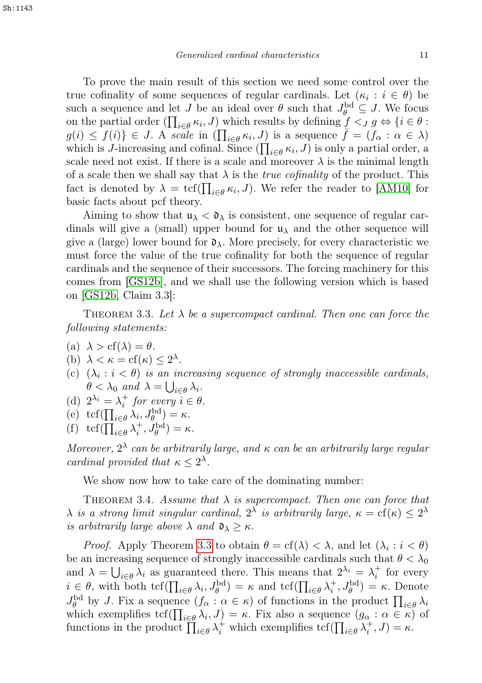To prove the main result of this section we need some control over the true cofinality of some sequences of regular cardinals. Let  $(\kappa_i : i \in \theta)$  be such a sequence and let J be an ideal over  $\theta$  such that  $J_{\theta}^{\rm bd} \subseteq J$ . We focus on the partial order  $(\prod_{i\in\theta} \kappa_i, J)$  which results by defining  $\underline{f} <_J g \Leftrightarrow \{i \in \theta :$  $g(i) \leq f(i) \} \in J$ . A scale in  $\left(\prod_{i \in \theta} \kappa_i, J\right)$  is a sequence  $\bar{f} = (f_\alpha : \alpha \in \lambda)$ which is *J*-increasing and cofinal. Since  $(\prod_{i \in \theta} \kappa_i, J)$  is only a partial order, a scale need not exist. If there is a scale and moreover  $\lambda$  is the minimal length of a scale then we shall say that  $\lambda$  is the *true cofinality* of the product. This fact is denoted by  $\lambda = \text{tcf}(\prod_{i \in \theta} \kappa_i, J)$ . We refer the reader to [\[AM10\]](#page-13-2) for basic facts about pcf theory.

Aiming to show that  $\mathfrak{u}_{\lambda} < \mathfrak{d}_{\lambda}$  is consistent, one sequence of regular cardinals will give a (small) upper bound for  $\mu_{\lambda}$  and the other sequence will give a (large) lower bound for  $\mathfrak{d}_{\lambda}$ . More precisely, for every characteristic we must force the value of the true cofinality for both the sequence of regular cardinals and the sequence of their successors. The forcing machinery for this comes from [\[GS12b\]](#page-14-10), and we shall use the following version which is based on [\[GS12b,](#page-14-10) Claim 3.3]:

<span id="page-10-0"></span>THEOREM 3.3. Let  $\lambda$  be a supercompact cardinal. Then one can force the following statements:

- (a)  $\lambda > cf(\lambda) = \theta$ .
- (b)  $\lambda < \kappa = \text{cf}(\kappa) \leq 2^{\lambda}$ .
- (c)  $(\lambda_i : i < \theta)$  is an increasing sequence of strongly inaccessible cardinals,  $\theta < \lambda_0$  and  $\lambda = \bigcup_{i \in \theta} \lambda_i$ .
- (d)  $2^{\lambda_i} = \lambda_i^+$  for every  $i \in \theta$ .
- (e)  $\operatorname{tcf}(\prod_{i\in\theta}\lambda_i,J_{\theta}^{\operatorname{bd}})=\kappa.$
- (f)  $\operatorname{tcf}(\prod_{i\in\theta}\lambda_i^+, J_{\theta}^{\operatorname{bd}}) = \kappa.$

Moreover,  $2^{\lambda}$  can be arbitrarily large, and  $\kappa$  can be an arbitrarily large regular cardinal provided that  $\kappa \leq 2^{\lambda}$ .

We show now how to take care of the dominating number:

<span id="page-10-1"></span>THEOREM 3.4. Assume that  $\lambda$  is supercompact. Then one can force that  $\lambda$  is a strong limit singular cardinal,  $2^{\lambda}$  is arbitrarily large,  $\kappa = \text{cf}(\kappa) \leq 2^{\lambda}$ is arbitrarily large above  $\lambda$  and  $\mathfrak{d}_{\lambda} \geq \kappa$ .

*Proof.* Apply Theorem [3.3](#page-10-0) to obtain  $\theta = cf(\lambda) < \lambda$ , and let  $(\lambda_i : i < \theta)$ be an increasing sequence of strongly inaccessible cardinals such that  $\theta < \lambda_0$ and  $\lambda = \bigcup_{i \in \theta} \lambda_i$  as guaranteed there. This means that  $2^{\lambda_i} = \lambda_i^+$  for every  $i \in \theta$ , with both  $\text{tcf}(\prod_{i\in\theta}\lambda_i, J_{\theta}^{\text{bd}}) = \kappa$  and  $\text{tcf}(\prod_{i\in\theta}\lambda_i^+, J_{\theta}^{\text{bd}}) = \kappa$ . Denote  $J_{\theta}^{\text{bd}}$  by J. Fix a sequence  $(f_{\alpha}: \alpha \in \kappa)$  of functions in the product  $\prod_{i\in\theta}\lambda_i$ which exemplifies  $\text{tcf}(\prod_{i\in\theta}\lambda_i, J) = \kappa$ . Fix also a sequence  $(g_\alpha : \alpha \in \kappa)$  of functions in the product  $\prod_{i\in\theta}\lambda_i^+$  which exemplifies tcf $(\prod_{i\in\theta}\lambda_i^+, J) = \kappa$ .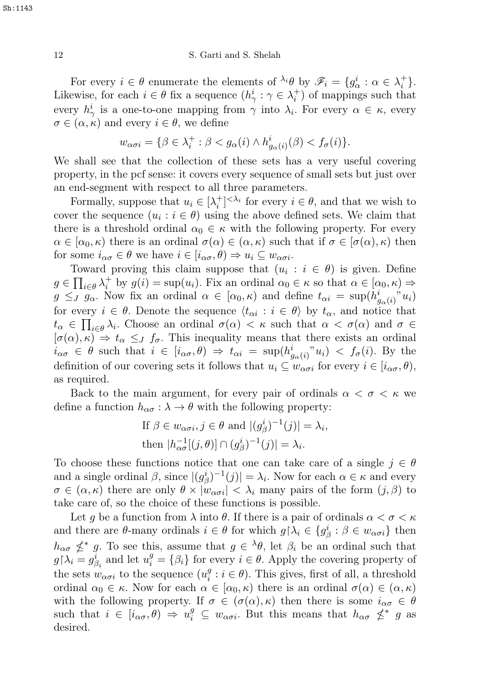For every  $i \in \theta$  enumerate the elements of  $\lambda_i \theta$  by  $\mathscr{F}_i = \{g_\alpha^i : \alpha \in \lambda_i^+\}.$ Likewise, for each  $i \in \theta$  fix a sequence  $(h^i_\gamma : \gamma \in \lambda_i^+)$  of mappings such that every  $h^i_\gamma$  is a one-to-one mapping from  $\gamma$  into  $\lambda_i$ . For every  $\alpha \in \kappa$ , every  $\sigma \in (\alpha, \kappa)$  and every  $i \in \theta$ , we define

$$
w_{\alpha\sigma i} = \{\beta \in \lambda_i^+ : \beta < g_{\alpha}(i) \land h^i_{g_{\alpha}(i)}(\beta) < f_{\sigma}(i)\}.
$$

We shall see that the collection of these sets has a very useful covering property, in the pcf sense: it covers every sequence of small sets but just over an end-segment with respect to all three parameters.

Formally, suppose that  $u_i \in [\lambda_i^+]^{<\lambda_i}$  for every  $i \in \theta$ , and that we wish to cover the sequence  $(u_i : i \in \theta)$  using the above defined sets. We claim that there is a threshold ordinal  $\alpha_0 \in \kappa$  with the following property. For every  $\alpha \in [\alpha_0, \kappa)$  there is an ordinal  $\sigma(\alpha) \in (\alpha, \kappa)$  such that if  $\sigma \in [\sigma(\alpha), \kappa)$  then for some  $i_{\alpha\sigma} \in \theta$  we have  $i \in [i_{\alpha\sigma}, \theta] \Rightarrow u_i \subseteq w_{\alpha\sigma i}$ .

Toward proving this claim suppose that  $(u_i : i \in \theta)$  is given. Define  $g \in \prod_{i \in \theta} \lambda_i^+$  by  $g(i) = \sup(u_i)$ . Fix an ordinal  $\alpha_0 \in \kappa$  so that  $\alpha \in [\alpha_0, \kappa) \Rightarrow$  $g \leq_{J} g_{\alpha}$ . Now fix an ordinal  $\alpha \in [\alpha_0, \kappa)$  and define  $t_{\alpha i} = \sup(h_{g_{\alpha}(i)}^i u_i)$ for every  $i \in \theta$ . Denote the sequence  $\langle t_{\alpha i} : i \in \theta \rangle$  by  $t_{\alpha}$ , and notice that  $t_{\alpha} \in \prod_{i \in \theta} \lambda_i$ . Choose an ordinal  $\sigma(\alpha) < \kappa$  such that  $\alpha < \sigma(\alpha)$  and  $\sigma \in$  $[\sigma(\alpha), \kappa] \Rightarrow t_{\alpha} \leq J$  f<sub>σ</sub>. This inequality means that there exists an ordinal  $i_{\alpha\sigma} \in \theta$  such that  $i \in [i_{\alpha\sigma}, \theta) \Rightarrow t_{\alpha i} = \sup(h_{g_\alpha(i)}^i u_i) < f_\sigma(i)$ . By the definition of our covering sets it follows that  $u_i \subseteq w_{\alpha\sigma i}$  for every  $i \in [i_{\alpha\sigma}, \theta)$ , as required.

Back to the main argument, for every pair of ordinals  $\alpha < \sigma < \kappa$  we define a function  $h_{\alpha\sigma} : \lambda \to \theta$  with the following property:

If 
$$
\beta \in w_{\alpha\sigma i}, j \in \theta
$$
 and  $|(g_{\beta}^{i})^{-1}(j)| = \lambda_{i}$ ,  
then  $|h_{\alpha\sigma}^{-1}[(j,\theta)] \cap (g_{\beta}^{i})^{-1}(j)| = \lambda_{i}$ .

To choose these functions notice that one can take care of a single  $j \in \theta$ and a single ordinal  $\beta$ , since  $|(g_{\beta}^{i})^{-1}(j)| = \lambda_{i}$ . Now for each  $\alpha \in \kappa$  and every  $\sigma \in (\alpha, \kappa)$  there are only  $\theta \times |w_{\alpha\sigma i}| < \lambda_i$  many pairs of the form  $(j, \beta)$  to take care of, so the choice of these functions is possible.

Let g be a function from  $\lambda$  into  $\theta$ . If there is a pair of ordinals  $\alpha < \sigma < \kappa$ and there are  $\theta$ -many ordinals  $i \in \theta$  for which  $g \upharpoonright \lambda_i \in \{g_\beta^i : \beta \in w_{\alpha\sigma i}\}\$  then  $h_{\alpha\sigma} \nleq^* g$ . To see this, assume that  $g \in {}^{\lambda}\theta$ , let  $\beta_i$  be an ordinal such that  $g \upharpoonright \lambda_i = g_{\beta_i}^i$  and let  $u_i^g = \{\beta_i\}$  for every  $i \in \theta$ . Apply the covering property of the sets  $w_{\alpha\sigma i}$  to the sequence  $(u_i^g)$  $i_i^g : i \in \theta$ ). This gives, first of all, a threshold ordinal  $\alpha_0 \in \kappa$ . Now for each  $\alpha \in [\alpha_0, \kappa)$  there is an ordinal  $\sigma(\alpha) \in (\alpha, \kappa)$ with the following property. If  $\sigma \in (\sigma(\alpha), \kappa)$  then there is some  $i_{\alpha\sigma} \in \theta$ such that  $i \in [i_{\alpha\sigma}, \theta) \Rightarrow u_i^g \subseteq w_{\alpha\sigma i}$ . But this means that  $h_{\alpha\sigma} \nleq^* g$  as desired.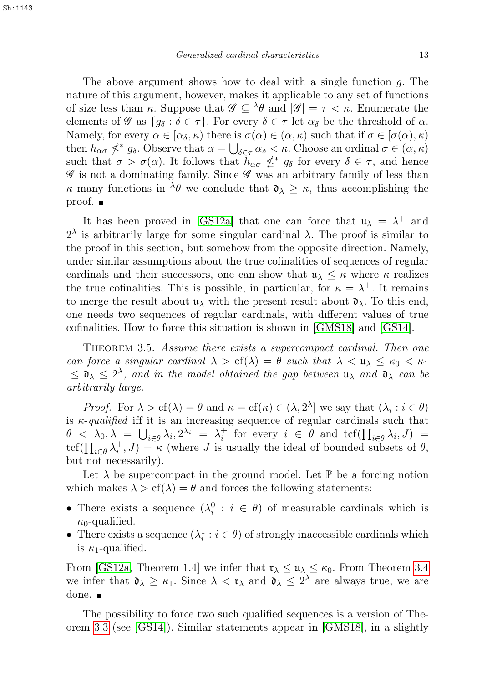The above argument shows how to deal with a single function g. The nature of this argument, however, makes it applicable to any set of functions of size less than  $\kappa$ . Suppose that  $\mathscr{G} \subseteq {}^{\lambda} \theta$  and  $|\mathscr{G}| = \tau < \kappa$ . Enumerate the elements of G as  $\{g_\delta : \delta \in \tau\}$ . For every  $\delta \in \tau$  let  $\alpha_\delta$  be the threshold of  $\alpha$ . Namely, for every  $\alpha \in [\alpha_{\delta}, \kappa)$  there is  $\sigma(\alpha) \in (\alpha, \kappa)$  such that if  $\sigma \in [\sigma(\alpha), \kappa)$ then  $h_{\alpha\sigma} \nleq^* g_\delta$ . Observe that  $\alpha = \bigcup_{\delta \in \tau} \alpha_\delta < \kappa$ . Choose an ordinal  $\sigma \in (\alpha, \kappa)$ such that  $\sigma > \sigma(\alpha)$ . It follows that  $h_{\alpha\sigma} \nleq^* g_\delta$  for every  $\delta \in \tau$ , and hence  $\mathscr G$  is not a dominating family. Since  $\mathscr G$  was an arbitrary family of less than  $\kappa$  many functions in  $\lambda \theta$  we conclude that  $\mathfrak{d}_{\lambda} \geq \kappa$ , thus accomplishing the proof.

It has been proved in [\[GS12a\]](#page-14-11) that one can force that  $\mathfrak{u}_{\lambda} = \lambda^+$  and  $2<sup>λ</sup>$  is arbitrarily large for some singular cardinal  $λ$ . The proof is similar to the proof in this section, but somehow from the opposite direction. Namely, under similar assumptions about the true cofinalities of sequences of regular cardinals and their successors, one can show that  $\mathfrak{u}_{\lambda} \leq \kappa$  where  $\kappa$  realizes the true cofinalities. This is possible, in particular, for  $\kappa = \lambda^+$ . It remains to merge the result about  $\mathfrak{u}_{\lambda}$  with the present result about  $\mathfrak{d}_{\lambda}$ . To this end, one needs two sequences of regular cardinals, with different values of true cofinalities. How to force this situation is shown in [\[GMS18\]](#page-14-12) and [\[GS14\]](#page-14-13).

THEOREM 3.5. Assume there exists a supercompact cardinal. Then one can force a singular cardinal  $\lambda > cf(\lambda) = \theta$  such that  $\lambda < \mathfrak{u}_{\lambda} \leq \kappa_0 < \kappa_1$  $\leq \mathfrak{d}_{\lambda} \leq 2^{\lambda}$ , and in the model obtained the gap between  $\mathfrak{u}_{\lambda}$  and  $\mathfrak{d}_{\lambda}$  can be arbitrarily large.

*Proof.* For  $\lambda > cf(\lambda) = \theta$  and  $\kappa = cf(\kappa) \in (\lambda, 2^{\lambda}]$  we say that  $(\lambda_i : i \in \theta)$ is  $\kappa$ -qualified iff it is an increasing sequence of regular cardinals such that  $\theta \leq \lambda_0, \lambda = \bigcup_{i \in \theta} \lambda_i, 2^{\lambda_i} = \lambda_i^+$  for every  $i \in \theta$  and  $\text{tcf}(\prod_{i \in \theta} \lambda_i, J) =$  $\text{tcf}(\prod_{i\in\theta}\lambda_i^+,J)=\kappa$  (where J is usually the ideal of bounded subsets of  $\theta$ , but not necessarily).

Let  $\lambda$  be supercompact in the ground model. Let  $\mathbb P$  be a forcing notion which makes  $\lambda > cf(\lambda) = \theta$  and forces the following statements:

- There exists a sequence  $(\lambda_i^0 : i \in \theta)$  of measurable cardinals which is  $\kappa_0$ -qualified.
- There exists a sequence  $(\lambda_i^1 : i \in \theta)$  of strongly inaccessible cardinals which is  $\kappa_1$ -qualified.

From [\[GS12a,](#page-14-11) Theorem 1.4] we infer that  $\mathfrak{r}_{\lambda} \leq \mathfrak{u}_{\lambda} \leq \kappa_0$ . From Theorem [3.4](#page-10-1) we infer that  $\mathfrak{d}_{\lambda} \geq \kappa_1$ . Since  $\lambda < \mathfrak{r}_{\lambda}$  and  $\mathfrak{d}_{\lambda} \leq 2^{\lambda}$  are always true, we are done. ■

The possibility to force two such qualified sequences is a version of Theorem [3.3](#page-10-0) (see [\[GS14\]](#page-14-13)). Similar statements appear in [\[GMS18\]](#page-14-12), in a slightly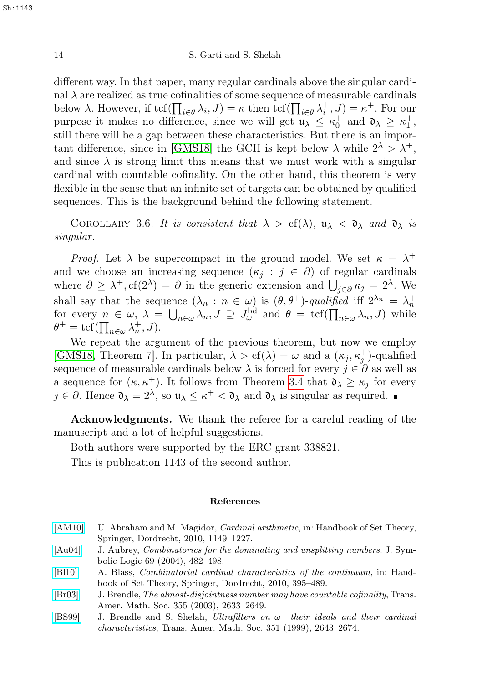different way. In that paper, many regular cardinals above the singular cardinal  $\lambda$  are realized as true cofinalities of some sequence of measurable cardinals below  $\lambda$ . However, if  $\text{tcf}(\prod_{i\in\theta}\lambda_i, J) = \kappa$  then  $\text{tcf}(\prod_{i\in\theta}\lambda_i^+, J) = \kappa^+$ . For our purpose it makes no difference, since we will get  $u_{\lambda} \leq \kappa_0^+$  and  $v_{\lambda} \geq \kappa_1^+$ , still there will be a gap between these characteristics. But there is an impor-tant difference, since in [\[GMS18\]](#page-14-12) the GCH is kept below  $\lambda$  while  $2^{\lambda} > \lambda^+$ , and since  $\lambda$  is strong limit this means that we must work with a singular cardinal with countable cofinality. On the other hand, this theorem is very flexible in the sense that an infinite set of targets can be obtained by qualified sequences. This is the background behind the following statement.

COROLLARY 3.6. It is consistent that  $\lambda > cf(\lambda)$ ,  $u_{\lambda} < \mathfrak{d}_{\lambda}$  and  $\mathfrak{d}_{\lambda}$  is singular.

*Proof.* Let  $\lambda$  be supercompact in the ground model. We set  $\kappa = \lambda^+$ and we choose an increasing sequence  $(\kappa_i : j \in \partial)$  of regular cardinals where  $\partial \geq \lambda^+, \text{cf}(2^{\lambda}) = \partial$  in the generic extension and  $\bigcup_{j \in \partial} \kappa_j = 2^{\lambda}$ . We shall say that the sequence  $(\lambda_n : n \in \omega)$  is  $(\theta, \theta^+)$ -qualified iff  $2^{\lambda_n} = \lambda_n^+$ for every  $n \in \omega$ ,  $\lambda = \bigcup_{n \in \omega} \lambda_n$ ,  $J \supseteq J_{\omega}^{\text{bd}}$  and  $\theta = \text{tcf}(\prod_{n \in \omega} \lambda_n, J)$  while  $\theta^+ = \text{tcf}(\prod_{n \in \omega} \lambda_n^+, J).$ 

We repeat the argument of the previous theorem, but now we employ [\[GMS18,](#page-14-12) Theorem 7]. In particular,  $\lambda > cf(\lambda) = \omega$  and a  $(\kappa_j, \kappa_j^+)$ -qualified sequence of measurable cardinals below  $\lambda$  is forced for every  $j \in \partial$  as well as a sequence for  $(\kappa, \kappa^+)$ . It follows from Theorem [3.4](#page-10-1) that  $\mathfrak{d}_{\lambda} \geq \kappa_j$  for every  $j \in \partial$ . Hence  $\mathfrak{d}_{\lambda} = 2^{\lambda}$ , so  $\mathfrak{u}_{\lambda} \leq \kappa^+ < \mathfrak{d}_{\lambda}$  and  $\mathfrak{d}_{\lambda}$  is singular as required.

Acknowledgments. We thank the referee for a careful reading of the manuscript and a lot of helpful suggestions.

Both authors were supported by the ERC grant 338821.

This is publication 1143 of the second author.

#### References

<span id="page-13-2"></span>[\[AM10\]](http://dx.doi.org/10.1007/978-1-4020-5764-9_15) U. Abraham and M. Magidor, *Cardinal arithmetic*, in: Handbook of Set Theory, Springer, Dordrecht, 2010, 1149–1227.

<span id="page-13-4"></span>[\[Au04\]](http://dx.doi.org/10.2178/jsl/1082418539) J. Aubrey, Combinatorics for the dominating and unsplitting numbers, J. Symbolic Logic 69 (2004), 482–498.

- <span id="page-13-1"></span>[\[Bl10\]](http://dx.doi.org/10.1007/978-1-4020-5764-9_7) A. Blass, Combinatorial cardinal characteristics of the continuum, in: Handbook of Set Theory, Springer, Dordrecht, 2010, 395–489.
- <span id="page-13-0"></span>[\[Br03\]](http://dx.doi.org/10.1090/S0002-9947-03-03271-9) J. Brendle,The almost-disjointness number may have countable cofinality, Trans. Amer. Math. Soc. 355 (2003), 2633–2649.
- <span id="page-13-3"></span>[\[BS99\]](http://dx.doi.org/10.1090/S0002-9947-99-02257-6) J. Brendle and S. Shelah, Ultrafilters on  $\omega$ —their ideals and their cardinal characteristics, Trans. Amer. Math. Soc. 351 (1999), 2643–2674.